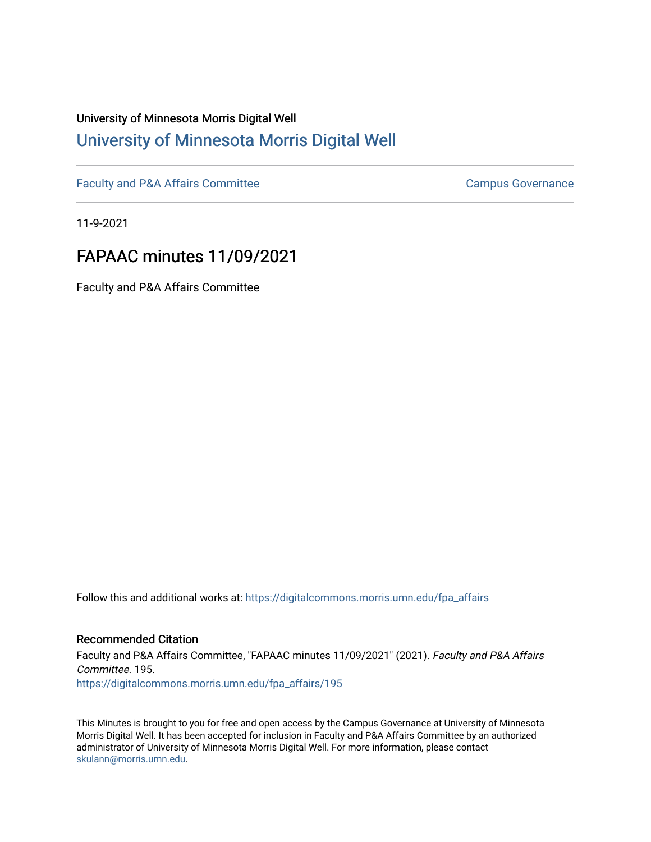# University of Minnesota Morris Digital Well [University of Minnesota Morris Digital Well](https://digitalcommons.morris.umn.edu/)

[Faculty and P&A Affairs Committee](https://digitalcommons.morris.umn.edu/fpa_affairs) [Campus Governance](https://digitalcommons.morris.umn.edu/campgov) Campus Governance

11-9-2021

# FAPAAC minutes 11/09/2021

Faculty and P&A Affairs Committee

Follow this and additional works at: [https://digitalcommons.morris.umn.edu/fpa\\_affairs](https://digitalcommons.morris.umn.edu/fpa_affairs?utm_source=digitalcommons.morris.umn.edu%2Ffpa_affairs%2F195&utm_medium=PDF&utm_campaign=PDFCoverPages)

#### Recommended Citation

Faculty and P&A Affairs Committee, "FAPAAC minutes 11/09/2021" (2021). Faculty and P&A Affairs Committee. 195. [https://digitalcommons.morris.umn.edu/fpa\\_affairs/195](https://digitalcommons.morris.umn.edu/fpa_affairs/195?utm_source=digitalcommons.morris.umn.edu%2Ffpa_affairs%2F195&utm_medium=PDF&utm_campaign=PDFCoverPages)

This Minutes is brought to you for free and open access by the Campus Governance at University of Minnesota Morris Digital Well. It has been accepted for inclusion in Faculty and P&A Affairs Committee by an authorized administrator of University of Minnesota Morris Digital Well. For more information, please contact [skulann@morris.umn.edu.](mailto:skulann@morris.umn.edu)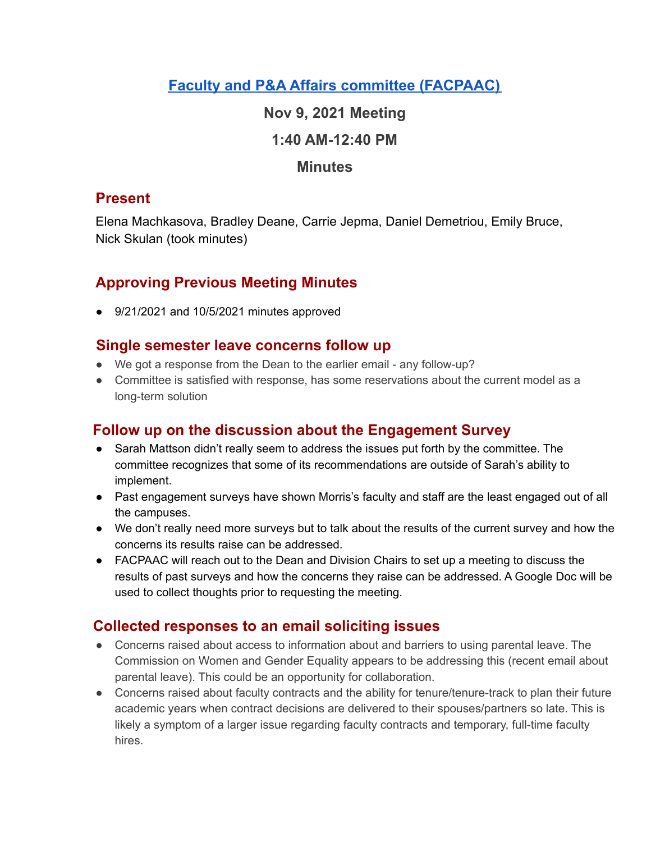# **Faculty and P&A Affairs committee [\(FACPAAC\)](https://committees.morris.umn.edu/faculty-and-pa-affairs-committee)**

### **Nov 9, 2021 Meeting**

### **1:40 AM-12:40 PM**

#### **Minutes**

### **Present**

Elena Machkasova, Bradley Deane, Carrie Jepma, Daniel Demetriou, Emily Bruce, Nick Skulan (took minutes)

# **Approving Previous Meeting Minutes**

● 9/21/2021 and 10/5/2021 minutes approved

### **Single semester leave concerns follow up**

- We got a response from the Dean to the earlier email any follow-up?
- Committee is satisfied with response, has some reservations about the current model as a long-term solution

### **Follow up on the discussion about the Engagement Survey**

- Sarah Mattson didn't really seem to address the issues put forth by the committee. The committee recognizes that some of its recommendations are outside of Sarah's ability to implement.
- Past engagement surveys have shown Morris's faculty and staff are the least engaged out of all the campuses.
- We don't really need more surveys but to talk about the results of the current survey and how the concerns its results raise can be addressed.
- FACPAAC will reach out to the Dean and Division Chairs to set up a meeting to discuss the results of past surveys and how the concerns they raise can be addressed. A Google Doc will be used to collect thoughts prior to requesting the meeting.

### **Collected responses to an email soliciting issues**

- Concerns raised about access to information about and barriers to using parental leave. The Commission on Women and Gender Equality appears to be addressing this (recent email about parental leave). This could be an opportunity for collaboration.
- Concerns raised about faculty contracts and the ability for tenure/tenure-track to plan their future academic years when contract decisions are delivered to their spouses/partners so late. This is likely a symptom of a larger issue regarding faculty contracts and temporary, full-time faculty hires.